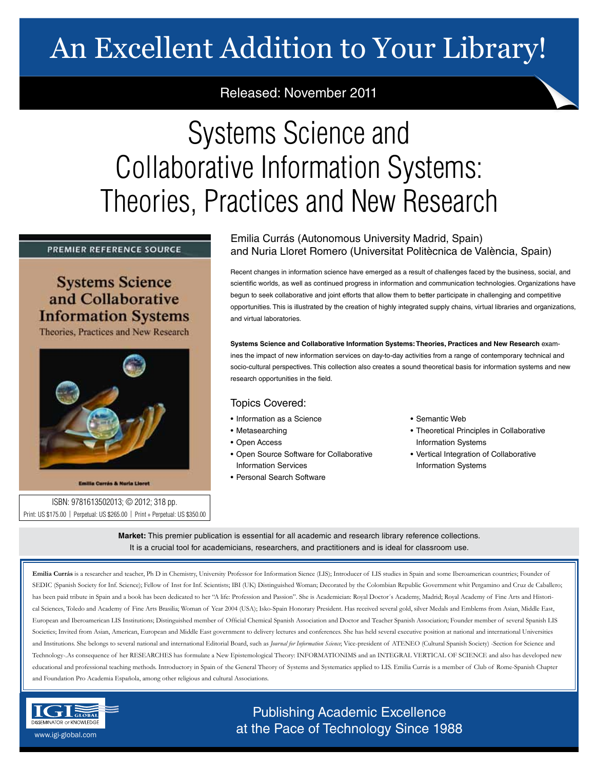# An Excellent Addition to Your Library!

## Released: November 2011

# Systems Science and Collaborative Information Systems: Theories, Practices and New Research

#### PREMIER REFERENCE SOURCE

## **Systems Science** and Collaborative **Information Systems**

Theories, Practices and New Research



**Emilia Currás & Nuria Lioret** 

### ISBN: 9781613502013; © 2012; 318 pp. Print: US \$175.00 | Perpetual: US \$265.00 | Print + Perpetual: US \$350.00

## Emilia Currás (Autonomous University Madrid, Spain) and Nuria Lloret Romero (Universitat Politècnica de València, Spain)

Recent changes in information science have emerged as a result of challenges faced by the business, social, and scientific worlds, as well as continued progress in information and communication technologies. Organizations have begun to seek collaborative and joint efforts that allow them to better participate in challenging and competitive opportunities. This is illustrated by the creation of highly integrated supply chains, virtual libraries and organizations, and virtual laboratories.

**Systems Science and Collaborative Information Systems: Theories, Practices and New Research** examines the impact of new information services on day-to-day activities from a range of contemporary technical and socio-cultural perspectives. This collection also creates a sound theoretical basis for information systems and new research opportunities in the field.

### Topics Covered:

- Information as a Science
- Metasearching
- Open Access
- Open Source Software for Collaborative Information Services
- Personal Search Software

#### • Semantic Web

- Theoretical Principles in Collaborative Information Systems
- Vertical Integration of Collaborative Information Systems

**Market:** This premier publication is essential for all academic and research library reference collections. It is a crucial tool for academicians, researchers, and practitioners and is ideal for classroom use.

Emilia Currás is a researcher and teacher, Ph D in Chemistry, University Professor for Information Sience (LIS); Introducer of LIS studies in Spain and some Iberoamerican countries; Founder of SEDIC (Spanish Society for Inf. Science); Fellow of Inst for Inf. Scientists; IBI (UK) Distinguished Woman; Decorated by the Colombian Republic Government whit Pergamino and Cruz de Caballero; has been paid tribute in Spain and a book has been dedicated to her "A life: Profession and Passion". She is Academician: Royal Doctor's Academy, Madrid; Royal Academy of Fine Arts and Historical Sciences, Toledo and Academy of Fine Arts Brasilia; Woman of Year 2004 (USA); Isko-Spain Honorary President. Has received several gold, silver Medals and Emblems from Asian, Middle East, European and Iberoamerican LIS Institutions; Distinguished member of Official Chemical Spanish Association and Doctor and Teacher Spanish Association; Founder member of several Spanish LIS Societies; Invited from Asian, American, European and Middle East government to delivery lectures and conferences. She has held several executive position at national and international Universities and Institutions. She belongs to several national and international Editorial Board, such as *Journal for Information Science*; Vice-president of ATENEO (Cultural Spanish Society) -Section for Science and Technology-.As consequence of her RESEARCHES has formulate a New Epistemological Theory: INFORMATIONIMS and an INTEGRAL VERTICAL OF SCIENCE and also has developed new educational and professional teaching methods. Introductory in Spain of the General Theory of Systems and Systematics applied to LIS. Emilia Currás is a member of Club of Rome-Spanish Chapter and Foundation Pro Academia Española, among other religious and cultural Associations.



# Publishing Academic Excellence **DISSEMINATOR OF KNOWLEDGE and the Pace of Technology Since 1988** www.igi-global.com